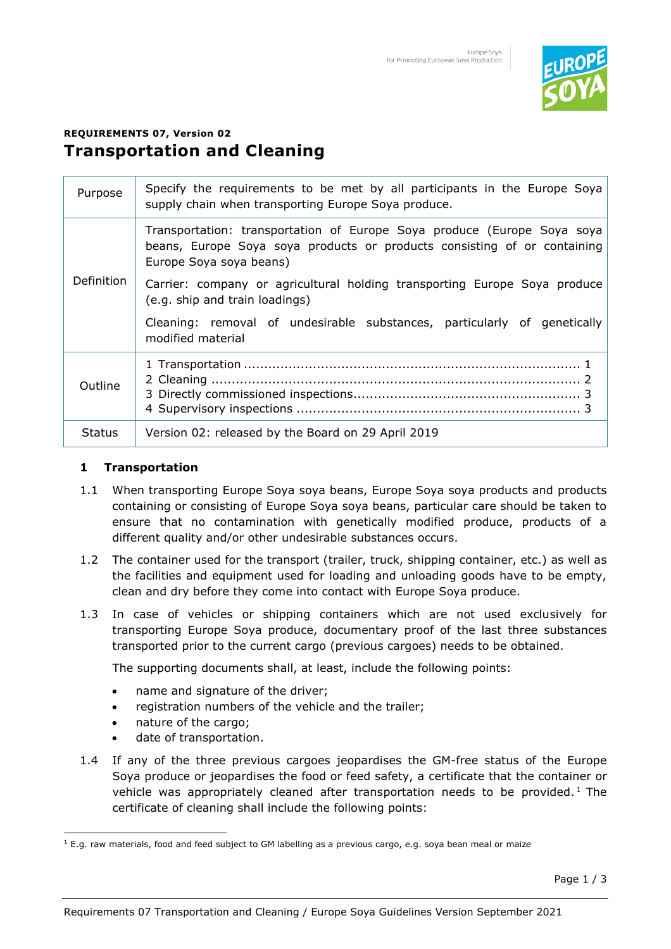

# **REQUIREMENTS 07, Version 02 Transportation and Cleaning**

| Purpose       | Specify the requirements to be met by all participants in the Europe Soya<br>supply chain when transporting Europe Soya produce.                                               |
|---------------|--------------------------------------------------------------------------------------------------------------------------------------------------------------------------------|
| Definition    | Transportation: transportation of Europe Soya produce (Europe Soya soya<br>beans, Europe Soya soya products or products consisting of or containing<br>Europe Soya soya beans) |
|               | Carrier: company or agricultural holding transporting Europe Soya produce<br>(e.g. ship and train loadings)                                                                    |
|               | Cleaning: removal of undesirable substances, particularly of genetically<br>modified material                                                                                  |
| Outline       |                                                                                                                                                                                |
| <b>Status</b> | Version 02: released by the Board on 29 April 2019                                                                                                                             |

#### **1 Transportation**

- 1.1 When transporting Europe Soya soya beans, Europe Soya soya products and products containing or consisting of Europe Soya soya beans, particular care should be taken to ensure that no contamination with genetically modified produce, products of a different quality and/or other undesirable substances occurs.
- 1.2 The container used for the transport (trailer, truck, shipping container, etc.) as well as the facilities and equipment used for loading and unloading goods have to be empty, clean and dry before they come into contact with Europe Soya produce.
- 1.3 In case of vehicles or shipping containers which are not used exclusively for transporting Europe Soya produce, documentary proof of the last three substances transported prior to the current cargo (previous cargoes) needs to be obtained.

The supporting documents shall, at least, include the following points:

- name and signature of the driver;
- registration numbers of the vehicle and the trailer;
- nature of the cargo;
- date of transportation.
- 1.4 If any of the three previous cargoes jeopardises the GM-free status of the Europe Soya produce or jeopardises the food or feed safety, a certificate that the container or vehicle was appropriately cleaned after transportation needs to be provided.<sup>1</sup> The certificate of cleaning shall include the following points:

<sup>1</sup> E.g. raw materials, food and feed subject to GM labelling as a previous cargo, e.g. soya bean meal or maize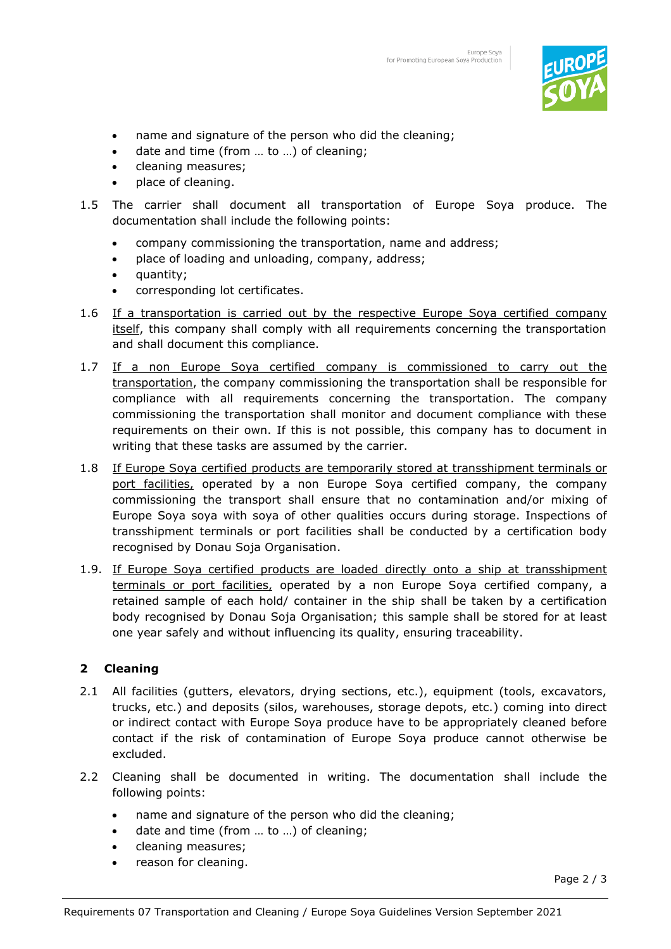

- name and signature of the person who did the cleaning;
- date and time (from ... to ...) of cleaning;
- cleaning measures;
- place of cleaning.
- 1.5 The carrier shall document all transportation of Europe Soya produce. The documentation shall include the following points:
	- company commissioning the transportation, name and address;
	- place of loading and unloading, company, address;
	- quantity;
	- corresponding lot certificates.
- 1.6 If a transportation is carried out by the respective Europe Soya certified company itself, this company shall comply with all requirements concerning the transportation and shall document this compliance.
- 1.7 If a non Europe Soya certified company is commissioned to carry out the transportation, the company commissioning the transportation shall be responsible for compliance with all requirements concerning the transportation. The company commissioning the transportation shall monitor and document compliance with these requirements on their own. If this is not possible, this company has to document in writing that these tasks are assumed by the carrier.
- 1.8 If Europe Soya certified products are temporarily stored at transshipment terminals or port facilities, operated by a non Europe Soya certified company, the company commissioning the transport shall ensure that no contamination and/or mixing of Europe Soya soya with soya of other qualities occurs during storage. Inspections of transshipment terminals or port facilities shall be conducted by a certification body recognised by Donau Soja Organisation.
- 1.9. If Europe Soya certified products are loaded directly onto a ship at transshipment terminals or port facilities, operated by a non Europe Soya certified company, a retained sample of each hold/ container in the ship shall be taken by a certification body recognised by Donau Soja Organisation; this sample shall be stored for at least one year safely and without influencing its quality, ensuring traceability.

## **2 Cleaning**

- 2.1 All facilities (gutters, elevators, drying sections, etc.), equipment (tools, excavators, trucks, etc.) and deposits (silos, warehouses, storage depots, etc.) coming into direct or indirect contact with Europe Soya produce have to be appropriately cleaned before contact if the risk of contamination of Europe Soya produce cannot otherwise be excluded.
- 2.2 Cleaning shall be documented in writing. The documentation shall include the following points:
	- name and signature of the person who did the cleaning;
	- date and time (from ... to ...) of cleaning;
	- cleaning measures;
	- reason for cleaning.